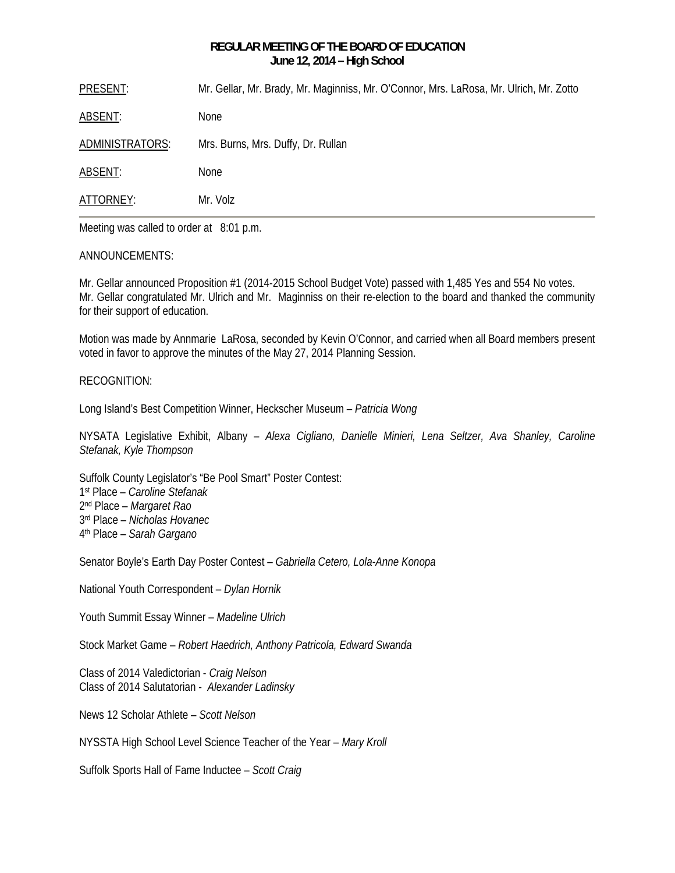# **REGULAR MEETING OF THE BOARD OF EDUCATION June 12, 2014 – High School**

PRESENT: Mr. Gellar, Mr. Brady, Mr. Maginniss, Mr. O'Connor, Mrs. LaRosa, Mr. Ulrich, Mr. Zotto

ABSENT: None

ADMINISTRATORS: Mrs. Burns, Mrs. Duffy, Dr. Rullan

ABSENT: None

ATTORNEY: Mr. Volz

Meeting was called to order at 8:01 p.m.

# ANNOUNCEMENTS:

Mr. Gellar announced Proposition #1 (2014-2015 School Budget Vote) passed with 1,485 Yes and 554 No votes. Mr. Gellar congratulated Mr. Ulrich and Mr. Maginniss on their re-election to the board and thanked the community for their support of education.

Motion was made by Annmarie LaRosa, seconded by Kevin O'Connor, and carried when all Board members present voted in favor to approve the minutes of the May 27, 2014 Planning Session.

# RECOGNITION:

Long Island's Best Competition Winner, Heckscher Museum – *Patricia Wong* 

NYSATA Legislative Exhibit, Albany – *Alexa Cigliano, Danielle Minieri, Lena Seltzer, Ava Shanley, Caroline Stefanak, Kyle Thompson* 

Suffolk County Legislator's "Be Pool Smart" Poster Contest: 1st Place – *Caroline Stefanak* 2nd Place – *Margaret Rao* 3rd Place – *Nicholas Hovanec* 4th Place – *Sarah Gargano*

Senator Boyle's Earth Day Poster Contest – *Gabriella Cetero, Lola-Anne Konopa* 

National Youth Correspondent – *Dylan Hornik*

Youth Summit Essay Winner – *Madeline Ulrich*

Stock Market Game – *Robert Haedrich, Anthony Patricola, Edward Swanda*

Class of 2014 Valedictorian - *Craig Nelson*  Class of 2014 Salutatorian - *Alexander Ladinsky* 

News 12 Scholar Athlete – *Scott Nelson* 

NYSSTA High School Level Science Teacher of the Year – *Mary Kroll*

Suffolk Sports Hall of Fame Inductee – *Scott Craig*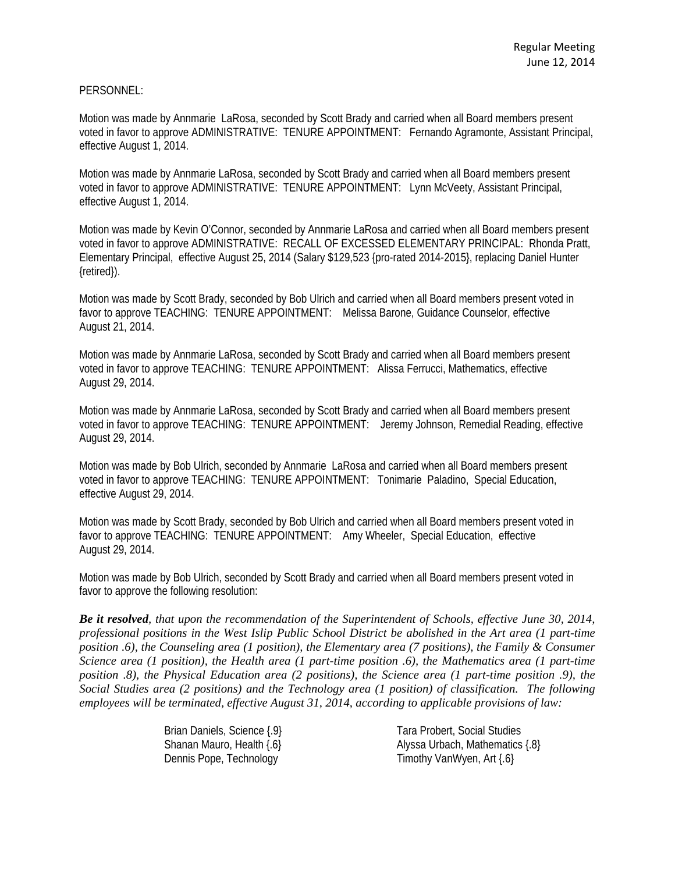# PERSONNEL:

Motion was made by Annmarie LaRosa, seconded by Scott Brady and carried when all Board members present voted in favor to approve ADMINISTRATIVE: TENURE APPOINTMENT: Fernando Agramonte, Assistant Principal, effective August 1, 2014.

Motion was made by Annmarie LaRosa, seconded by Scott Brady and carried when all Board members present voted in favor to approve ADMINISTRATIVE: TENURE APPOINTMENT: Lynn McVeety, Assistant Principal, effective August 1, 2014.

Motion was made by Kevin O'Connor, seconded by Annmarie LaRosa and carried when all Board members present voted in favor to approve ADMINISTRATIVE: RECALL OF EXCESSED ELEMENTARY PRINCIPAL: Rhonda Pratt, Elementary Principal, effective August 25, 2014 (Salary \$129,523 {pro-rated 2014-2015}, replacing Daniel Hunter {retired}).

Motion was made by Scott Brady, seconded by Bob Ulrich and carried when all Board members present voted in favor to approve TEACHING: TENURE APPOINTMENT: Melissa Barone, Guidance Counselor, effective August 21, 2014.

Motion was made by Annmarie LaRosa, seconded by Scott Brady and carried when all Board members present voted in favor to approve TEACHING: TENURE APPOINTMENT: Alissa Ferrucci, Mathematics, effective August 29, 2014.

Motion was made by Annmarie LaRosa, seconded by Scott Brady and carried when all Board members present voted in favor to approve TEACHING: TENURE APPOINTMENT: Jeremy Johnson, Remedial Reading, effective August 29, 2014.

Motion was made by Bob Ulrich, seconded by Annmarie LaRosa and carried when all Board members present voted in favor to approve TEACHING: TENURE APPOINTMENT: Tonimarie Paladino, Special Education, effective August 29, 2014.

Motion was made by Scott Brady, seconded by Bob Ulrich and carried when all Board members present voted in favor to approve TEACHING: TENURE APPOINTMENT: Amy Wheeler, Special Education, effective August 29, 2014.

Motion was made by Bob Ulrich, seconded by Scott Brady and carried when all Board members present voted in favor to approve the following resolution:

*Be it resolved, that upon the recommendation of the Superintendent of Schools, effective June 30, 2014, professional positions in the West Islip Public School District be abolished in the Art area (1 part-time position .6), the Counseling area (1 position), the Elementary area (7 positions), the Family & Consumer Science area (1 position), the Health area (1 part-time position .6), the Mathematics area (1 part-time position .8), the Physical Education area (2 positions), the Science area (1 part-time position .9), the Social Studies area (2 positions) and the Technology area (1 position) of classification. The following employees will be terminated, effective August 31, 2014, according to applicable provisions of law:* 

> Brian Daniels, Science { 9} Tara Probert, Social Studies Dennis Pope, Technology Timothy VanWyen, Art {.6}

Shanan Mauro, Health {.6} Alyssa Urbach, Mathematics {.8}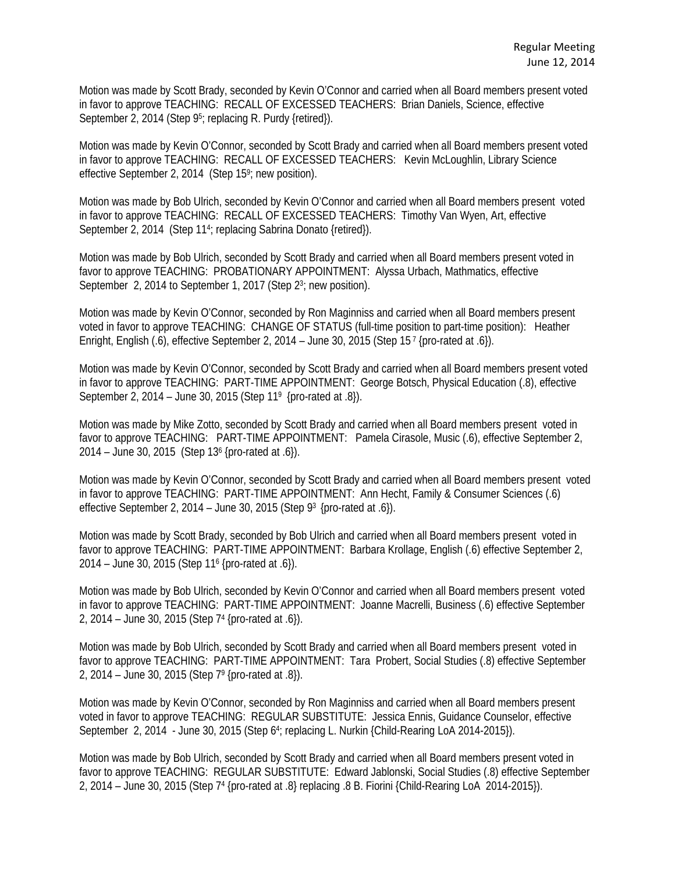Motion was made by Scott Brady, seconded by Kevin O'Connor and carried when all Board members present voted in favor to approve TEACHING: RECALL OF EXCESSED TEACHERS: Brian Daniels, Science, effective September 2, 2014 (Step 9<sup>5</sup>; replacing R. Purdy {retired}).

Motion was made by Kevin O'Connor, seconded by Scott Brady and carried when all Board members present voted in favor to approve TEACHING: RECALL OF EXCESSED TEACHERS: Kevin McLoughlin, Library Science effective September 2, 2014 (Step 15<sup>9</sup>; new position).

Motion was made by Bob Ulrich, seconded by Kevin O'Connor and carried when all Board members present voted in favor to approve TEACHING: RECALL OF EXCESSED TEACHERS: Timothy Van Wyen, Art, effective September 2, 2014 (Step 11<sup>4</sup>; replacing Sabrina Donato {retired}).

Motion was made by Bob Ulrich, seconded by Scott Brady and carried when all Board members present voted in favor to approve TEACHING: PROBATIONARY APPOINTMENT: Alyssa Urbach, Mathmatics, effective September 2, 2014 to September 1, 2017 (Step 2<sup>3</sup>; new position).

Motion was made by Kevin O'Connor, seconded by Ron Maginniss and carried when all Board members present voted in favor to approve TEACHING: CHANGE OF STATUS (full-time position to part-time position): Heather Enright, English (.6), effective September 2, 2014 – June 30, 2015 (Step 15<sup>7</sup> {pro-rated at .6}).

Motion was made by Kevin O'Connor, seconded by Scott Brady and carried when all Board members present voted in favor to approve TEACHING: PART-TIME APPOINTMENT: George Botsch, Physical Education (.8), effective September 2, 2014 – June 30, 2015 (Step 119 {pro-rated at .8}).

Motion was made by Mike Zotto, seconded by Scott Brady and carried when all Board members present voted in favor to approve TEACHING: PART-TIME APPOINTMENT: Pamela Cirasole, Music (.6), effective September 2, 2014 – June 30, 2015 (Step 136 {pro-rated at .6}).

Motion was made by Kevin O'Connor, seconded by Scott Brady and carried when all Board members present voted in favor to approve TEACHING: PART-TIME APPOINTMENT: Ann Hecht, Family & Consumer Sciences (.6) effective September 2, 2014 – June 30, 2015 (Step 93 {pro-rated at .6}).

Motion was made by Scott Brady, seconded by Bob Ulrich and carried when all Board members present voted in favor to approve TEACHING: PART-TIME APPOINTMENT: Barbara Krollage, English (.6) effective September 2, 2014 – June 30, 2015 (Step 116 {pro-rated at .6}).

Motion was made by Bob Ulrich, seconded by Kevin O'Connor and carried when all Board members present voted in favor to approve TEACHING: PART-TIME APPOINTMENT: Joanne Macrelli, Business (.6) effective September 2, 2014 – June 30, 2015 (Step 74 {pro-rated at .6}).

Motion was made by Bob Ulrich, seconded by Scott Brady and carried when all Board members present voted in favor to approve TEACHING: PART-TIME APPOINTMENT: Tara Probert, Social Studies (.8) effective September 2, 2014 – June 30, 2015 (Step 79 {pro-rated at .8}).

Motion was made by Kevin O'Connor, seconded by Ron Maginniss and carried when all Board members present voted in favor to approve TEACHING: REGULAR SUBSTITUTE: Jessica Ennis, Guidance Counselor, effective September 2, 2014 - June 30, 2015 (Step 64; replacing L. Nurkin {Child-Rearing LoA 2014-2015}).

Motion was made by Bob Ulrich, seconded by Scott Brady and carried when all Board members present voted in favor to approve TEACHING: REGULAR SUBSTITUTE: Edward Jablonski, Social Studies (.8) effective September 2, 2014 – June 30, 2015 (Step 74 {pro-rated at .8} replacing .8 B. Fiorini {Child-Rearing LoA 2014-2015}).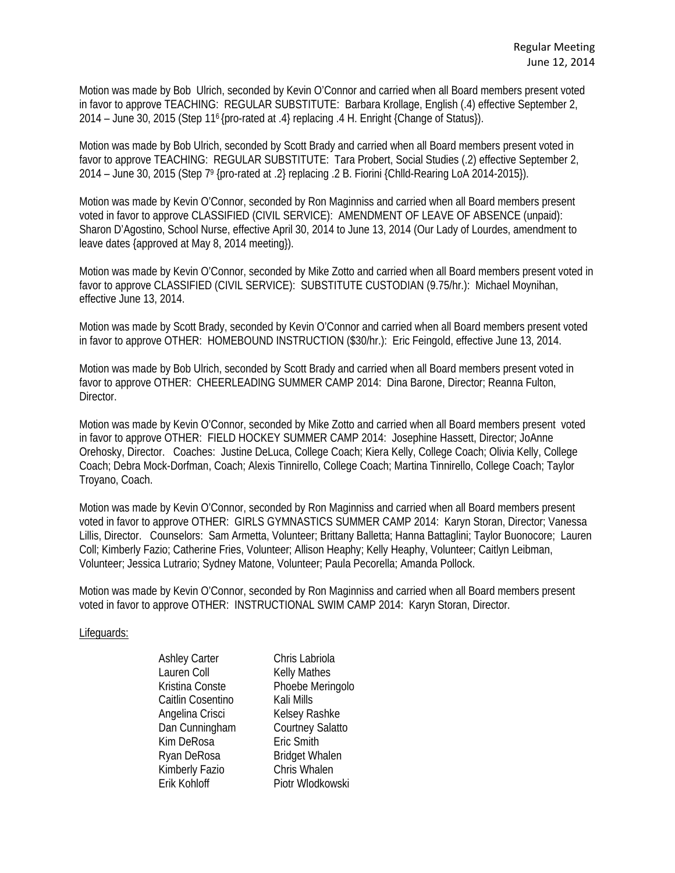Motion was made by Bob Ulrich, seconded by Kevin O'Connor and carried when all Board members present voted in favor to approve TEACHING: REGULAR SUBSTITUTE: Barbara Krollage, English (.4) effective September 2, 2014 – June 30, 2015 (Step 116 {pro-rated at .4} replacing .4 H. Enright {Change of Status}).

Motion was made by Bob Ulrich, seconded by Scott Brady and carried when all Board members present voted in favor to approve TEACHING: REGULAR SUBSTITUTE: Tara Probert, Social Studies (.2) effective September 2, 2014 – June 30, 2015 (Step 79 {pro-rated at .2} replacing .2 B. Fiorini {Chlld-Rearing LoA 2014-2015}).

Motion was made by Kevin O'Connor, seconded by Ron Maginniss and carried when all Board members present voted in favor to approve CLASSIFIED (CIVIL SERVICE): AMENDMENT OF LEAVE OF ABSENCE (unpaid): Sharon D'Agostino, School Nurse, effective April 30, 2014 to June 13, 2014 (Our Lady of Lourdes, amendment to leave dates {approved at May 8, 2014 meeting}).

Motion was made by Kevin O'Connor, seconded by Mike Zotto and carried when all Board members present voted in favor to approve CLASSIFIED (CIVIL SERVICE): SUBSTITUTE CUSTODIAN (9.75/hr.): Michael Moynihan, effective June 13, 2014.

Motion was made by Scott Brady, seconded by Kevin O'Connor and carried when all Board members present voted in favor to approve OTHER: HOMEBOUND INSTRUCTION (\$30/hr.): Eric Feingold, effective June 13, 2014.

Motion was made by Bob Ulrich, seconded by Scott Brady and carried when all Board members present voted in favor to approve OTHER: CHEERLEADING SUMMER CAMP 2014: Dina Barone, Director; Reanna Fulton, Director.

Motion was made by Kevin O'Connor, seconded by Mike Zotto and carried when all Board members present voted in favor to approve OTHER: FIELD HOCKEY SUMMER CAMP 2014: Josephine Hassett, Director; JoAnne Orehosky, Director. Coaches: Justine DeLuca, College Coach; Kiera Kelly, College Coach; Olivia Kelly, College Coach; Debra Mock-Dorfman, Coach; Alexis Tinnirello, College Coach; Martina Tinnirello, College Coach; Taylor Troyano, Coach.

Motion was made by Kevin O'Connor, seconded by Ron Maginniss and carried when all Board members present voted in favor to approve OTHER: GIRLS GYMNASTICS SUMMER CAMP 2014: Karyn Storan, Director; Vanessa Lillis, Director. Counselors: Sam Armetta, Volunteer; Brittany Balletta; Hanna Battaglini; Taylor Buonocore; Lauren Coll; Kimberly Fazio; Catherine Fries, Volunteer; Allison Heaphy; Kelly Heaphy, Volunteer; Caitlyn Leibman, Volunteer; Jessica Lutrario; Sydney Matone, Volunteer; Paula Pecorella; Amanda Pollock.

Motion was made by Kevin O'Connor, seconded by Ron Maginniss and carried when all Board members present voted in favor to approve OTHER: INSTRUCTIONAL SWIM CAMP 2014: Karyn Storan, Director.

#### Lifeguards:

Lauren Coll Kelly Mathes Caitlin Cosentino Kali Mills Angelina Crisci Kelsey Rashke Kim DeRosa Eric Smith Kimberly Fazio Chris Whalen

Ashley Carter Chris Labriola Kristina Conste Phoebe Meringolo Dan Cunningham Courtney Salatto Ryan DeRosa Bridget Whalen Erik Kohloff Piotr Wlodkowski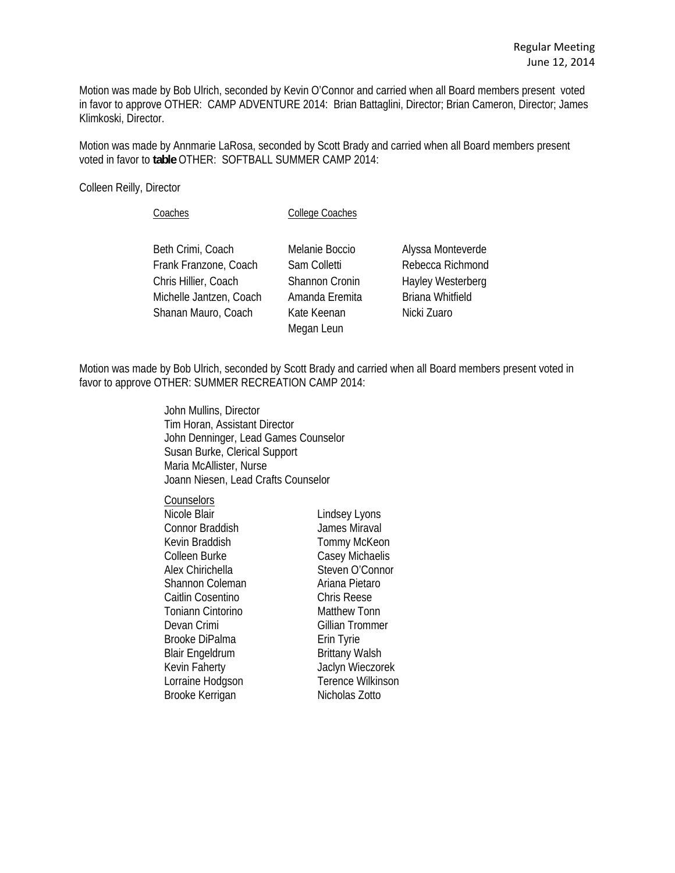Motion was made by Bob Ulrich, seconded by Kevin O'Connor and carried when all Board members present voted in favor to approve OTHER: CAMP ADVENTURE 2014: Brian Battaglini, Director; Brian Cameron, Director; James Klimkoski, Director.

Motion was made by Annmarie LaRosa, seconded by Scott Brady and carried when all Board members present voted in favor to **table** OTHER: SOFTBALL SUMMER CAMP 2014:

Colleen Reilly, Director

Coaches College Coaches

Beth Crimi, Coach Melanie Boccio Alyssa Monteverde Frank Franzone, Coach Sam Colletti Rebecca Richmond Chris Hillier, Coach Shannon Cronin Hayley Westerberg Michelle Jantzen, Coach Amanda Eremita Briana Whitfield Shanan Mauro, Coach Kate Keenan Nicki Zuaro

Megan Leun

Motion was made by Bob Ulrich, seconded by Scott Brady and carried when all Board members present voted in favor to approve OTHER: SUMMER RECREATION CAMP 2014:

> John Mullins, Director Tim Horan, Assistant Director John Denninger, Lead Games Counselor Susan Burke, Clerical Support Maria McAllister, Nurse Joann Niesen, Lead Crafts Counselor

**Counselors** Nicole Blair **Lindsey Lyons**  Connor Braddish James Miraval Kevin Braddish Tommy McKeon Colleen Burke Casey Michaelis Alex Chirichella Steven O'Connor Shannon Coleman **Ariana Pietaro**  Caitlin Cosentino Chris Reese Toniann Cintorino Matthew Tonn Devan Crimi Gillian Trommer Brooke DiPalma **Erin Tyrie** Blair Engeldrum Brittany Walsh Kevin Faherty **Jaclyn Wieczorek** Lorraine Hodgson Terence Wilkinson

Brooke Kerrigan Nicholas Zotto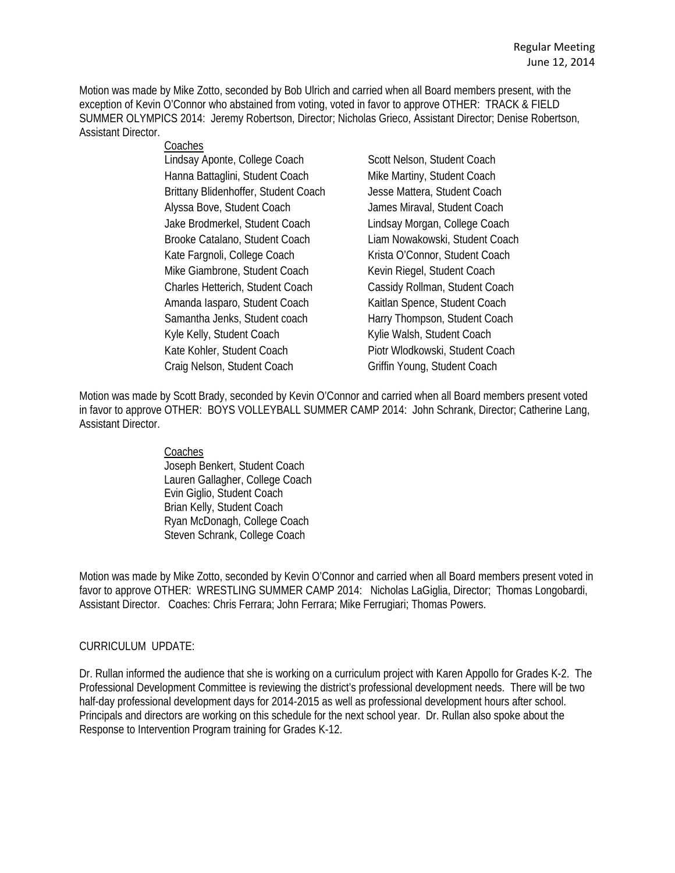Motion was made by Mike Zotto, seconded by Bob Ulrich and carried when all Board members present, with the exception of Kevin O'Connor who abstained from voting, voted in favor to approve OTHER: TRACK & FIELD SUMMER OLYMPICS 2014: Jeremy Robertson, Director; Nicholas Grieco, Assistant Director; Denise Robertson, Assistant Director.

### Coaches

Lindsay Aponte, College Coach Scott Nelson, Student Coach Hanna Battaglini, Student Coach Mike Martiny, Student Coach Brittany Blidenhoffer, Student Coach Jesse Mattera, Student Coach Alyssa Bove, Student Coach James Miraval, Student Coach Jake Brodmerkel, Student Coach Lindsay Morgan, College Coach Brooke Catalano, Student Coach Liam Nowakowski, Student Coach Kate Fargnoli, College Coach Krista O'Connor, Student Coach Mike Giambrone, Student Coach Kevin Riegel, Student Coach Charles Hetterich, Student Coach Cassidy Rollman, Student Coach Amanda Iasparo, Student Coach Kaitlan Spence, Student Coach Samantha Jenks, Student coach Harry Thompson, Student Coach Kyle Kelly, Student Coach Kylie Walsh, Student Coach Kate Kohler, Student Coach Piotr Wlodkowski, Student Coach Craig Nelson, Student Coach Griffin Young, Student Coach

Motion was made by Scott Brady, seconded by Kevin O'Connor and carried when all Board members present voted in favor to approve OTHER: BOYS VOLLEYBALL SUMMER CAMP 2014: John Schrank, Director; Catherine Lang, Assistant Director.

#### Coaches

 Joseph Benkert, Student Coach Lauren Gallagher, College Coach Evin Giglio, Student Coach Brian Kelly, Student Coach Ryan McDonagh, College Coach Steven Schrank, College Coach

Motion was made by Mike Zotto, seconded by Kevin O'Connor and carried when all Board members present voted in favor to approve OTHER: WRESTLING SUMMER CAMP 2014: Nicholas LaGiglia, Director; Thomas Longobardi, Assistant Director. Coaches: Chris Ferrara; John Ferrara; Mike Ferrugiari; Thomas Powers.

# CURRICULUM UPDATE:

Dr. Rullan informed the audience that she is working on a curriculum project with Karen Appollo for Grades K-2. The Professional Development Committee is reviewing the district's professional development needs. There will be two half-day professional development days for 2014-2015 as well as professional development hours after school. Principals and directors are working on this schedule for the next school year. Dr. Rullan also spoke about the Response to Intervention Program training for Grades K-12.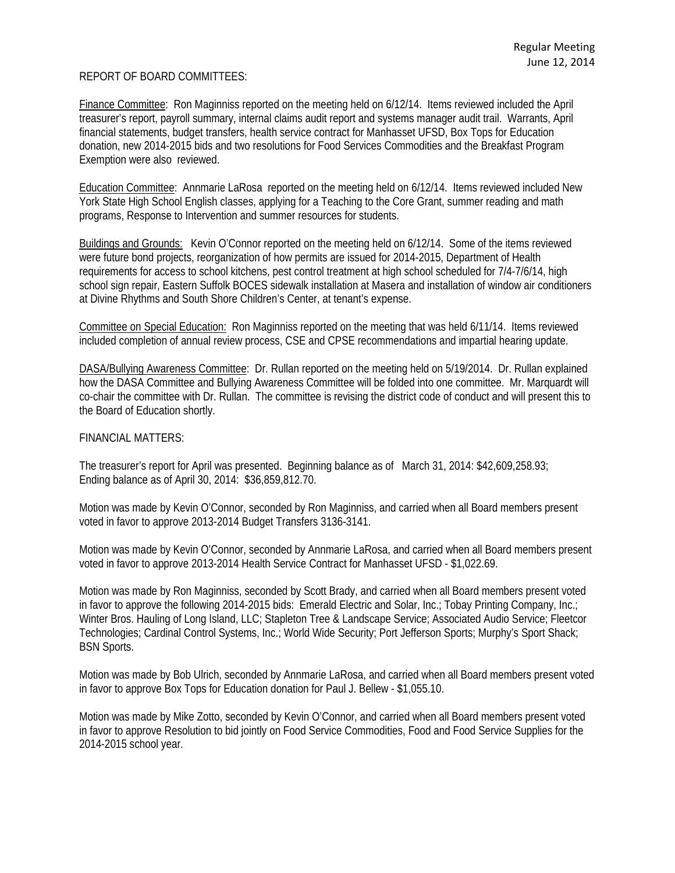# REPORT OF BOARD COMMITTEES:

Finance Committee: Ron Maginniss reported on the meeting held on 6/12/14. Items reviewed included the April treasurer's report, payroll summary, internal claims audit report and systems manager audit trail. Warrants, April financial statements, budget transfers, health service contract for Manhasset UFSD, Box Tops for Education donation, new 2014-2015 bids and two resolutions for Food Services Commodities and the Breakfast Program Exemption were also reviewed.

Education Committee: Annmarie LaRosa reported on the meeting held on 6/12/14. Items reviewed included New York State High School English classes, applying for a Teaching to the Core Grant, summer reading and math programs, Response to Intervention and summer resources for students.

Buildings and Grounds: Kevin O'Connor reported on the meeting held on 6/12/14. Some of the items reviewed were future bond projects, reorganization of how permits are issued for 2014-2015, Department of Health requirements for access to school kitchens, pest control treatment at high school scheduled for 7/4-7/6/14, high school sign repair, Eastern Suffolk BOCES sidewalk installation at Masera and installation of window air conditioners at Divine Rhythms and South Shore Children's Center, at tenant's expense.

Committee on Special Education: Ron Maginniss reported on the meeting that was held 6/11/14. Items reviewed included completion of annual review process, CSE and CPSE recommendations and impartial hearing update.

DASA/Bullying Awareness Committee: Dr. Rullan reported on the meeting held on 5/19/2014. Dr. Rullan explained how the DASA Committee and Bullying Awareness Committee will be folded into one committee. Mr. Marquardt will co-chair the committee with Dr. Rullan. The committee is revising the district code of conduct and will present this to the Board of Education shortly.

#### FINANCIAL MATTERS:

The treasurer's report for April was presented. Beginning balance as of March 31, 2014: \$42,609,258.93; Ending balance as of April 30, 2014: \$36,859,812.70.

Motion was made by Kevin O'Connor, seconded by Ron Maginniss, and carried when all Board members present voted in favor to approve 2013-2014 Budget Transfers 3136-3141.

Motion was made by Kevin O'Connor, seconded by Annmarie LaRosa, and carried when all Board members present voted in favor to approve 2013-2014 Health Service Contract for Manhasset UFSD - \$1,022.69.

Motion was made by Ron Maginniss, seconded by Scott Brady, and carried when all Board members present voted in favor to approve the following 2014-2015 bids: Emerald Electric and Solar, Inc.; Tobay Printing Company, Inc.; Winter Bros. Hauling of Long Island, LLC; Stapleton Tree & Landscape Service; Associated Audio Service; Fleetcor Technologies; Cardinal Control Systems, Inc.; World Wide Security; Port Jefferson Sports; Murphy's Sport Shack; BSN Sports.

Motion was made by Bob Ulrich, seconded by Annmarie LaRosa, and carried when all Board members present voted in favor to approve Box Tops for Education donation for Paul J. Bellew - \$1,055.10.

Motion was made by Mike Zotto, seconded by Kevin O'Connor, and carried when all Board members present voted in favor to approve Resolution to bid jointly on Food Service Commodities, Food and Food Service Supplies for the 2014-2015 school year.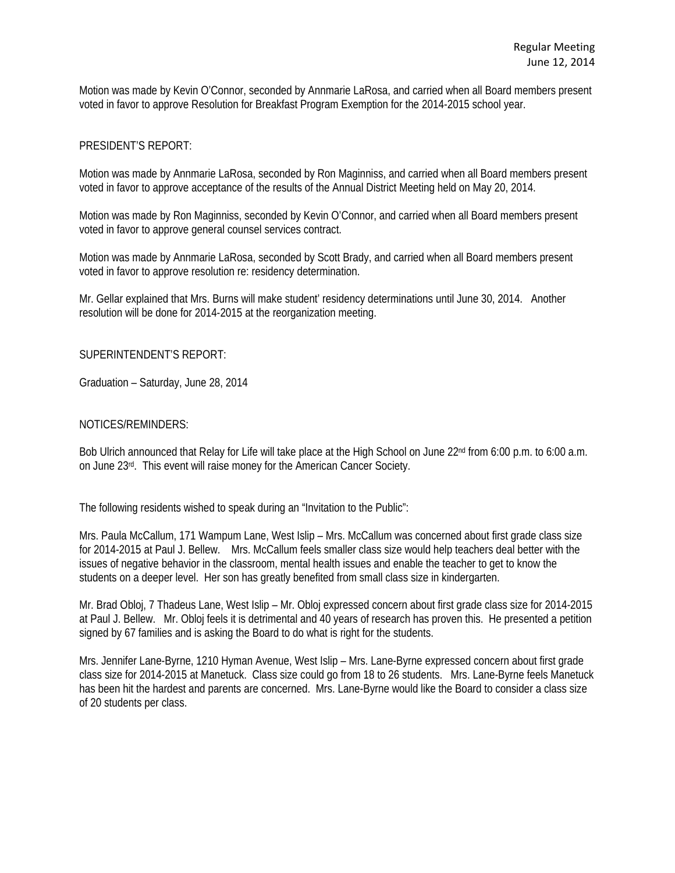Motion was made by Kevin O'Connor, seconded by Annmarie LaRosa, and carried when all Board members present voted in favor to approve Resolution for Breakfast Program Exemption for the 2014-2015 school year.

#### PRESIDENT'S REPORT:

Motion was made by Annmarie LaRosa, seconded by Ron Maginniss, and carried when all Board members present voted in favor to approve acceptance of the results of the Annual District Meeting held on May 20, 2014.

Motion was made by Ron Maginniss, seconded by Kevin O'Connor, and carried when all Board members present voted in favor to approve general counsel services contract.

Motion was made by Annmarie LaRosa, seconded by Scott Brady, and carried when all Board members present voted in favor to approve resolution re: residency determination.

Mr. Gellar explained that Mrs. Burns will make student' residency determinations until June 30, 2014. Another resolution will be done for 2014-2015 at the reorganization meeting.

### SUPERINTENDENT'S REPORT:

Graduation – Saturday, June 28, 2014

#### NOTICES/REMINDERS:

Bob Ulrich announced that Relay for Life will take place at the High School on June 22<sup>nd</sup> from 6:00 p.m. to 6:00 a.m. on June 23rd. This event will raise money for the American Cancer Society.

The following residents wished to speak during an "Invitation to the Public":

Mrs. Paula McCallum, 171 Wampum Lane, West Islip – Mrs. McCallum was concerned about first grade class size for 2014-2015 at Paul J. Bellew. Mrs. McCallum feels smaller class size would help teachers deal better with the issues of negative behavior in the classroom, mental health issues and enable the teacher to get to know the students on a deeper level. Her son has greatly benefited from small class size in kindergarten.

Mr. Brad Obloj, 7 Thadeus Lane, West Islip – Mr. Obloj expressed concern about first grade class size for 2014-2015 at Paul J. Bellew. Mr. Obloj feels it is detrimental and 40 years of research has proven this. He presented a petition signed by 67 families and is asking the Board to do what is right for the students.

Mrs. Jennifer Lane-Byrne, 1210 Hyman Avenue, West Islip – Mrs. Lane-Byrne expressed concern about first grade class size for 2014-2015 at Manetuck. Class size could go from 18 to 26 students. Mrs. Lane-Byrne feels Manetuck has been hit the hardest and parents are concerned. Mrs. Lane-Byrne would like the Board to consider a class size of 20 students per class.